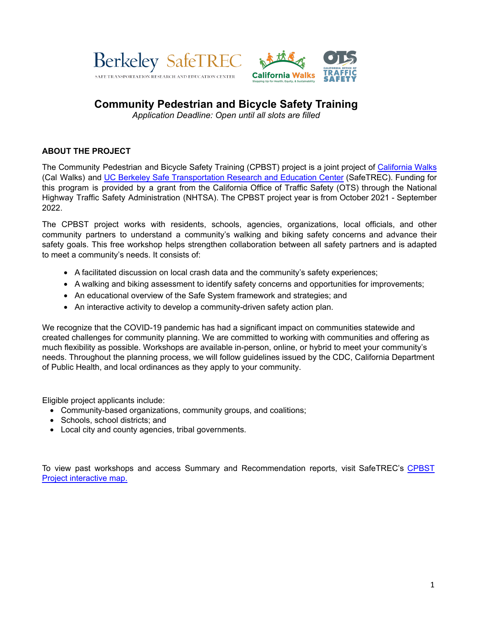



## **Community Pedestrian and Bicycle Safety Training**

*Application Deadline: Open until all slots are filled*

## **ABOUT THE PROJECT**

The Community Pedestrian and Bicycle Safety Training (CPBST) project is a joint project of [California](https://www.calwalks.org/cpbst) Walks (Cal Walks) and UC Berkeley Safe [Transportation](https://safetrec.berkeley.edu/programs/cpbst) Research and Education Center (SafeTREC). Funding for this program is provided by a grant from the California Office of Traffic Safety (OTS) through the National Highway Traffic Safety Administration (NHTSA). The CPBST project year is from October 2021 - September 2022.

The CPBST project works with residents, schools, agencies, organizations, local officials, and other community partners to understand a community's walking and biking safety concerns and advance their safety goals. This free workshop helps strengthen collaboration between all safety partners and is adapted to meet a community's needs. It consists of:

- A facilitated discussion on local crash data and the community's safety experiences;
- A walking and biking assessment to identify safety concerns and opportunities for improvements;
- An educational overview of the Safe System framework and strategies; and
- An interactive activity to develop a community-driven safety action plan.

We recognize that the COVID-19 pandemic has had a significant impact on communities statewide and created challenges for community planning. We are committed to working with communities and offering as much flexibility as possible. Workshops are available in-person, online, or hybrid to meet your community's needs. Throughout the planning process, we will follow guidelines issued by the CDC, California Department of Public Health, and local ordinances as they apply to your community.

Eligible project applicants include:

- Community-based organizations, community groups, and coalitions;
- Schools, school districts; and
- Local city and county agencies, tribal governments.

To view past workshops and access Summary and Recommendation reports, visit SafeTREC's [CPBST](https://cal.maps.arcgis.com/apps/Shortlist/index.html?appid=a9f039d44f9f425d8e773d5007c34ed5) Project interactive map.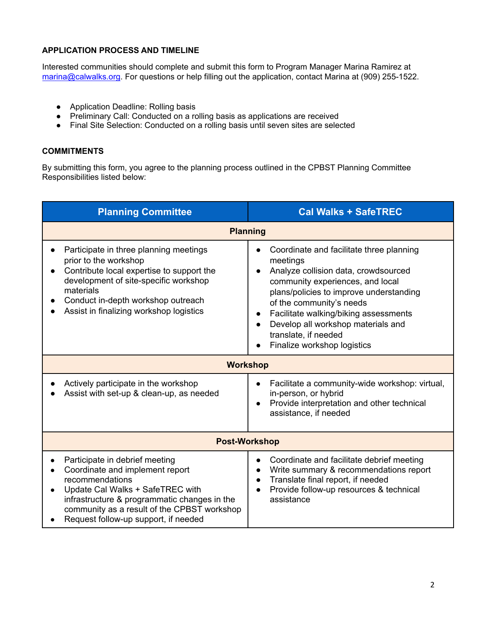## **APPLICATION PROCESS AND TIMELINE**

Interested communities should complete and submit this form to Program Manager Marina Ramirez at marina@calwalks.org. For questions or help filling out the application, contact Marina at (909) 255-1522.

- Application Deadline: Rolling basis
- Preliminary Call: Conducted on a rolling basis as applications are received
- Final Site Selection: Conducted on a rolling basis until seven sites are selected

## **COMMITMENTS**

By submitting this form, you agree to the planning process outlined in the CPBST Planning Committee Responsibilities listed below:

| <b>Planning Committee</b>                                                                                                                                                                                                                                                     | <b>Cal Walks + SafeTREC</b>                                                                                                                                                                                                                                                                                                                   |  |  |  |
|-------------------------------------------------------------------------------------------------------------------------------------------------------------------------------------------------------------------------------------------------------------------------------|-----------------------------------------------------------------------------------------------------------------------------------------------------------------------------------------------------------------------------------------------------------------------------------------------------------------------------------------------|--|--|--|
| <b>Planning</b>                                                                                                                                                                                                                                                               |                                                                                                                                                                                                                                                                                                                                               |  |  |  |
| Participate in three planning meetings<br>$\bullet$<br>prior to the workshop<br>Contribute local expertise to support the<br>$\bullet$<br>development of site-specific workshop<br>materials<br>Conduct in-depth workshop outreach<br>Assist in finalizing workshop logistics | Coordinate and facilitate three planning<br>meetings<br>Analyze collision data, crowdsourced<br>community experiences, and local<br>plans/policies to improve understanding<br>of the community's needs<br>Facilitate walking/biking assessments<br>Develop all workshop materials and<br>translate, if needed<br>Finalize workshop logistics |  |  |  |
| <b>Workshop</b>                                                                                                                                                                                                                                                               |                                                                                                                                                                                                                                                                                                                                               |  |  |  |
| Actively participate in the workshop<br>Assist with set-up & clean-up, as needed                                                                                                                                                                                              | Facilitate a community-wide workshop: virtual,<br>in-person, or hybrid<br>Provide interpretation and other technical<br>assistance, if needed                                                                                                                                                                                                 |  |  |  |
| <b>Post-Workshop</b>                                                                                                                                                                                                                                                          |                                                                                                                                                                                                                                                                                                                                               |  |  |  |
| Participate in debrief meeting<br>Coordinate and implement report<br>recommendations<br>Update Cal Walks + SafeTREC with<br>$\bullet$<br>infrastructure & programmatic changes in the<br>community as a result of the CPBST workshop<br>Request follow-up support, if needed  | Coordinate and facilitate debrief meeting<br>$\bullet$<br>Write summary & recommendations report<br>Translate final report, if needed<br>Provide follow-up resources & technical<br>assistance                                                                                                                                                |  |  |  |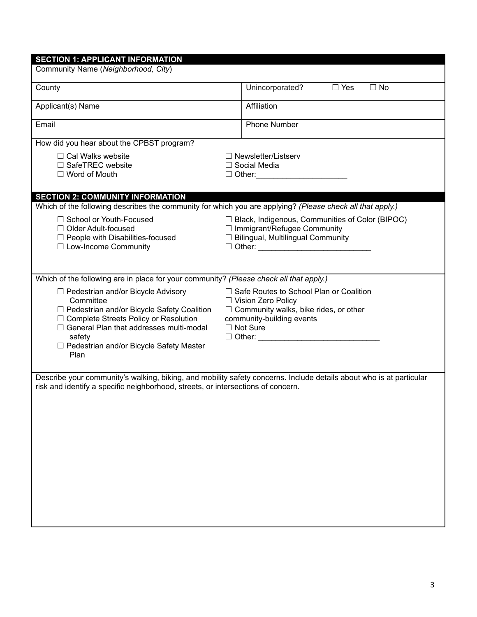| County                                                                                                                                                                                                                                                        | Unincorporated?<br>$\Box$ Yes<br>$\Box$ No                                                                                                                                         |
|---------------------------------------------------------------------------------------------------------------------------------------------------------------------------------------------------------------------------------------------------------------|------------------------------------------------------------------------------------------------------------------------------------------------------------------------------------|
| Applicant(s) Name                                                                                                                                                                                                                                             | Affiliation                                                                                                                                                                        |
| Email                                                                                                                                                                                                                                                         | <b>Phone Number</b>                                                                                                                                                                |
| How did you hear about the CPBST program?                                                                                                                                                                                                                     |                                                                                                                                                                                    |
| $\Box$ Cal Walks website<br>$\Box$ SafeTREC website<br>$\Box$ Word of Mouth                                                                                                                                                                                   | $\Box$ Newsletter/Listserv<br>$\Box$ Social Media<br>$\Box$ Other:                                                                                                                 |
| <b>SECTION 2: COMMUNITY INFORMATION</b>                                                                                                                                                                                                                       |                                                                                                                                                                                    |
| Which of the following describes the community for which you are applying? (Please check all that apply.)<br>□ School or Youth-Focused<br>$\Box$ Older Adult-focused<br>$\Box$ People with Disabilities-focused<br>$\Box$ Low-Income Community                | $\Box$ Black, Indigenous, Communities of Color (BIPOC)<br>$\Box$ Immigrant/Refugee Community<br>$\Box$ Bilingual, Multilingual Community                                           |
| Which of the following are in place for your community? (Please check all that apply.)                                                                                                                                                                        |                                                                                                                                                                                    |
| □ Pedestrian and/or Bicycle Advisory<br>Committee<br>□ Pedestrian and/or Bicycle Safety Coalition<br>□ Complete Streets Policy or Resolution<br>$\Box$ General Plan that addresses multi-modal<br>safety<br>□ Pedestrian and/or Bicycle Safety Master<br>Plan | □ Safe Routes to School Plan or Coalition<br>□ Vision Zero Policy<br>$\Box$ Community walks, bike rides, or other<br>community-building events<br>$\Box$ Not Sure<br>$\Box$ Other: |
| risk and identify a specific neighborhood, streets, or intersections of concern.                                                                                                                                                                              | Describe your community's walking, biking, and mobility safety concerns. Include details about who is at particular                                                                |